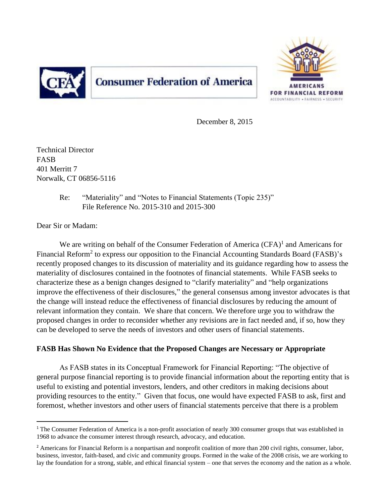

# **Consumer Federation of America**



December 8, 2015

Technical Director FASB 401 Merritt 7 Norwalk, CT 06856-5116

> Re: "Materiality" and "Notes to Financial Statements (Topic 235)" File Reference No. 2015-310 and 2015-300

Dear Sir or Madam:

 $\overline{a}$ 

We are writing on behalf of the Consumer Federation of America  $(CFA)^1$  and Americans for Financial Reform<sup>2</sup> to express our opposition to the Financial Accounting Standards Board (FASB)'s recently proposed changes to its discussion of materiality and its guidance regarding how to assess the materiality of disclosures contained in the footnotes of financial statements. While FASB seeks to characterize these as a benign changes designed to "clarify materiality" and "help organizations improve the effectiveness of their disclosures," the general consensus among investor advocates is that the change will instead reduce the effectiveness of financial disclosures by reducing the amount of relevant information they contain. We share that concern. We therefore urge you to withdraw the proposed changes in order to reconsider whether any revisions are in fact needed and, if so, how they can be developed to serve the needs of investors and other users of financial statements.

# **FASB Has Shown No Evidence that the Proposed Changes are Necessary or Appropriate**

As FASB states in its Conceptual Framework for Financial Reporting: "The objective of general purpose financial reporting is to provide financial information about the reporting entity that is useful to existing and potential investors, lenders, and other creditors in making decisions about providing resources to the entity." Given that focus, one would have expected FASB to ask, first and foremost, whether investors and other users of financial statements perceive that there is a problem

 $1$  The Consumer Federation of America is a non-profit association of nearly 300 consumer groups that was established in 1968 to advance the consumer interest through research, advocacy, and education.

<sup>&</sup>lt;sup>2</sup> Americans for Financial Reform is a nonpartisan and nonprofit coalition of more than 200 civil rights, consumer, labor, business, investor, faith-based, and civic and community groups. Formed in the wake of the 2008 crisis, we are working to lay the foundation for a strong, stable, and ethical financial system – one that serves the economy and the nation as a whole.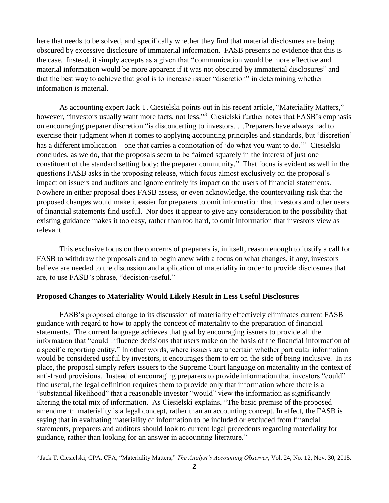here that needs to be solved, and specifically whether they find that material disclosures are being obscured by excessive disclosure of immaterial information. FASB presents no evidence that this is the case. Instead, it simply accepts as a given that "communication would be more effective and material information would be more apparent if it was not obscured by immaterial disclosures" and that the best way to achieve that goal is to increase issuer "discretion" in determining whether information is material.

As accounting expert Jack T. Ciesielski points out in his recent article, "Materiality Matters," however, "investors usually want more facts, not less."<sup>3</sup> Ciesielski further notes that FASB's emphasis on encouraging preparer discretion "is disconcerting to investors. …Preparers have always had to exercise their judgment when it comes to applying accounting principles and standards, but 'discretion' has a different implication – one that carries a connotation of 'do what you want to do.'" Ciesielski concludes, as we do, that the proposals seem to be "aimed squarely in the interest of just one constituent of the standard setting body: the preparer community." That focus is evident as well in the questions FASB asks in the proposing release, which focus almost exclusively on the proposal's impact on issuers and auditors and ignore entirely its impact on the users of financial statements. Nowhere in either proposal does FASB assess, or even acknowledge, the countervailing risk that the proposed changes would make it easier for preparers to omit information that investors and other users of financial statements find useful. Nor does it appear to give any consideration to the possibility that existing guidance makes it too easy, rather than too hard, to omit information that investors view as relevant.

This exclusive focus on the concerns of preparers is, in itself, reason enough to justify a call for FASB to withdraw the proposals and to begin anew with a focus on what changes, if any, investors believe are needed to the discussion and application of materiality in order to provide disclosures that are, to use FASB's phrase, "decision-useful."

#### **Proposed Changes to Materiality Would Likely Result in Less Useful Disclosures**

FASB's proposed change to its discussion of materiality effectively eliminates current FASB guidance with regard to how to apply the concept of materiality to the preparation of financial statements. The current language achieves that goal by encouraging issuers to provide all the information that "could influence decisions that users make on the basis of the financial information of a specific reporting entity." In other words, where issuers are uncertain whether particular information would be considered useful by investors, it encourages them to err on the side of being inclusive. In its place, the proposal simply refers issuers to the Supreme Court language on materiality in the context of anti-fraud provisions. Instead of encouraging preparers to provide information that investors "could" find useful, the legal definition requires them to provide only that information where there is a "substantial likelihood" that a reasonable investor "would" view the information as significantly altering the total mix of information. As Ciesielski explains, "The basic premise of the proposed amendment: materiality is a legal concept, rather than an accounting concept. In effect, the FASB is saying that in evaluating materiality of information to be included or excluded from financial statements, preparers and auditors should look to current legal precedents regarding materiality for guidance, rather than looking for an answer in accounting literature."

 $\overline{a}$ 

<sup>3</sup> Jack T. Ciesielski, CPA, CFA, "Materiality Matters," *The Analyst's Accounting Observer*, Vol. 24, No. 12, Nov. 30, 2015.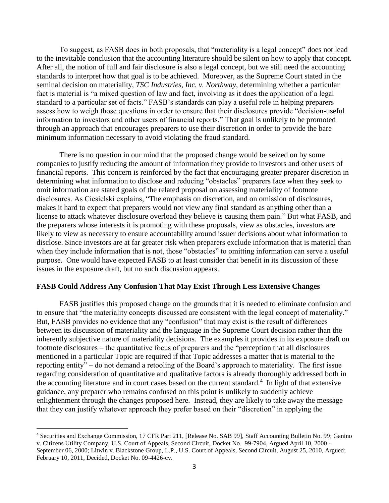To suggest, as FASB does in both proposals, that "materiality is a legal concept" does not lead to the inevitable conclusion that the accounting literature should be silent on how to apply that concept. After all, the notion of full and fair disclosure is also a legal concept, but we still need the accounting standards to interpret how that goal is to be achieved. Moreover, as the Supreme Court stated in the seminal decision on materiality, *TSC Industries, Inc. v. Northway*, determining whether a particular fact is material is "a mixed question of law and fact, involving as it does the application of a legal standard to a particular set of facts." FASB's standards can play a useful role in helping preparers assess how to weigh those questions in order to ensure that their disclosures provide "decision-useful information to investors and other users of financial reports." That goal is unlikely to be promoted through an approach that encourages preparers to use their discretion in order to provide the bare minimum information necessary to avoid violating the fraud standard.

There is no question in our mind that the proposed change would be seized on by some companies to justify reducing the amount of information they provide to investors and other users of financial reports. This concern is reinforced by the fact that encouraging greater preparer discretion in determining what information to disclose and reducing "obstacles" preparers face when they seek to omit information are stated goals of the related proposal on assessing materiality of footnote disclosures. As Ciesielski explains, "The emphasis on discretion, and on omission of disclosures, makes it hard to expect that preparers would not view any final standard as anything other than a license to attack whatever disclosure overload they believe is causing them pain." But what FASB, and the preparers whose interests it is promoting with these proposals, view as obstacles, investors are likely to view as necessary to ensure accountability around issuer decisions about what information to disclose. Since investors are at far greater risk when preparers exclude information that is material than when they include information that is not, those "obstacles" to omitting information can serve a useful purpose. One would have expected FASB to at least consider that benefit in its discussion of these issues in the exposure draft, but no such discussion appears.

#### **FASB Could Address Any Confusion That May Exist Through Less Extensive Changes**

FASB justifies this proposed change on the grounds that it is needed to eliminate confusion and to ensure that "the materiality concepts discussed are consistent with the legal concept of materiality." But, FASB provides no evidence that any "confusion" that may exist is the result of differences between its discussion of materiality and the language in the Supreme Court decision rather than the inherently subjective nature of materiality decisions. The examples it provides in its exposure draft on footnote disclosures – the quantitative focus of preparers and the "perception that all disclosures mentioned in a particular Topic are required if that Topic addresses a matter that is material to the reporting entity" – do not demand a retooling of the Board's approach to materiality. The first issue regarding consideration of quantitative and qualitative factors is already thoroughly addressed both in the accounting literature and in court cases based on the current standard.<sup>4</sup> In light of that extensive guidance, any preparer who remains confused on this point is unlikely to suddenly achieve enlightenment through the changes proposed here. Instead, they are likely to take away the message that they can justify whatever approach they prefer based on their "discretion" in applying the

 $\overline{a}$ 

<sup>4</sup> Securities and Exchange Commission, 17 CFR Part 211, [Release No. SAB 99], Staff Accounting Bulletin No. 99; Ganino v. Citizens Utility Company, U.S. Court of Appeals, Second Circuit, Docket No. 99-7904, Argued April 10, 2000 - September 06, 2000; Litwin v. Blackstone Group, L.P., U.S. Court of Appeals, Second Circuit, August 25, 2010, Argued; February 10, 2011, Decided, Docket No. 09-4426-cv.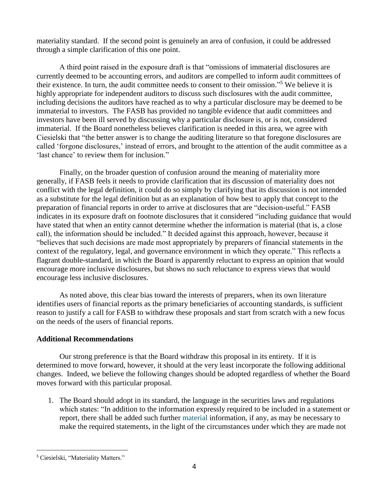materiality standard. If the second point is genuinely an area of confusion, it could be addressed through a simple clarification of this one point.

A third point raised in the exposure draft is that "omissions of immaterial disclosures are currently deemed to be accounting errors, and auditors are compelled to inform audit committees of their existence. In turn, the audit committee needs to consent to their omission." <sup>5</sup> We believe it is highly appropriate for independent auditors to discuss such disclosures with the audit committee, including decisions the auditors have reached as to why a particular disclosure may be deemed to be immaterial to investors. The FASB has provided no tangible evidence that audit committees and investors have been ill served by discussing why a particular disclosure is, or is not, considered immaterial. If the Board nonetheless believes clarification is needed in this area, we agree with Ciesielski that "the better answer is to change the auditing literature so that foregone disclosures are called 'forgone disclosures,' instead of errors, and brought to the attention of the audit committee as a 'last chance' to review them for inclusion."

Finally, on the broader question of confusion around the meaning of materiality more generally, if FASB feels it needs to provide clarification that its discussion of materiality does not conflict with the legal definition, it could do so simply by clarifying that its discussion is not intended as a substitute for the legal definition but as an explanation of how best to apply that concept to the preparation of financial reports in order to arrive at disclosures that are "decision-useful." FASB indicates in its exposure draft on footnote disclosures that it considered "including guidance that would have stated that when an entity cannot determine whether the information is material (that is, a close call), the information should be included." It decided against this approach, however, because it "believes that such decisions are made most appropriately by preparers of financial statements in the context of the regulatory, legal, and governance environment in which they operate." This reflects a flagrant double-standard, in which the Board is apparently reluctant to express an opinion that would encourage more inclusive disclosures, but shows no such reluctance to express views that would encourage less inclusive disclosures.

As noted above, this clear bias toward the interests of preparers, when its own literature identifies users of financial reports as the primary beneficiaries of accounting standards, is sufficient reason to justify a call for FASB to withdraw these proposals and start from scratch with a new focus on the needs of the users of financial reports.

## **Additional Recommendations**

Our strong preference is that the Board withdraw this proposal in its entirety. If it is determined to move forward, however, it should at the very least incorporate the following additional changes. Indeed, we believe the following changes should be adopted regardless of whether the Board moves forward with this particular proposal.

1. The Board should adopt in its standard, the language in the securities laws and regulations which states: "In addition to the information expressly required to be included in a statement or report, there shall be added such further [material](https://www.law.cornell.edu/definitions/index.php?width=840&height=800&iframe=true&def_id=5e3cfc9cb8c1b04b5cf1df2b80c93be8&term_occur=1&term_src=lii:cfr:2014:17:0:-:II:-:240:-:240.12b-20) information, if any, as may be necessary to make the required statements, in the light of the circumstances under which they are made not

 $\overline{a}$ <sup>5</sup> Ciesielski, "Materiality Matters."